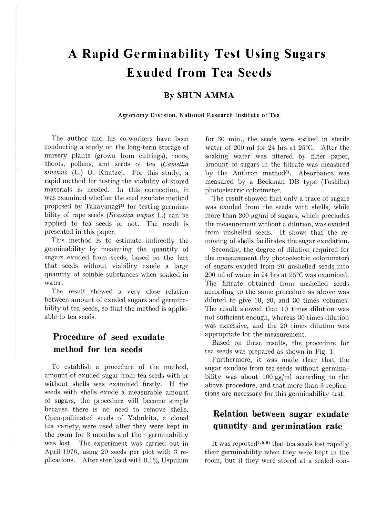# **A Rapid Germinability Test Using Sugars Exuded from Tea Seeds**

#### **By SHUN AMMA**

#### **Agronomy Division, National Research Institute of Tea**

The author and his co-workers have been conducting a study on the long-term storage of nursery plants (grown from cuttings), roots, shoots, pollens, and seeds of tea *(Camellia*  sinensis (L.) O. Kuntze). For this study, a rapid method for testing the viability of stored materials is needed. In this connection, it was examined whether the seed exudate method proposed by Takayanagi<sup>11</sup> for testing germinability of rape seeds *(Brassica napus* L.) can be applied to tea seeds or not. The result is presented in this paper.

This method is to estimate indirectly the germinability by measuring the quantity of sugars exuded from seeds, based on the fact that seeds without viability exude a large quantity of soluble substances when soaked in water.

The result showed a very close relation between amount of exuded sugars and germinability of tea seeds, so that the method is applicable to tea seeds.

# **Procedure of seed exudate method for tea seeds**

To establish a procedure of the method, amount of exuded sugar from tea seeds with or without shells was examined firstly. If the seeds with shells exude a measurable amount of sugars, the procedure will become simple because there is no need to remove shells. Open-pollinated seeds of Yabukita, a clonal tea variety, were used after they were kept in the room for 3 months and their germinability was lost. The experiment was carried out in April 1976, using 20 seeds per plot with 3 replications. After sterilized with  $0.1\%$  Uspulum

for 30 min., the seeds were soaked in sterile water of 200 ml for 24 hrs at 25°C. After the soaking water was filtered by filter paper, amount of sugars in the filtrate was measured by the Anthron method<sup>3</sup>. Absorbance was measured by a Beckman DB type (Toshiba) photoelectric colorimeter.

The result showed that only a trace of sugars was exuded from the seeds with shells, while more than 200  $\mu$ g/ml of sugars, which precludes the measurement without a dilution, was exuded from unshelled sezds. It shows that the removing of shells facilitates the sugar exudation.

Secondly, the degree of dilution required for the measurement (by photoelectric colorimeter) of sugars exuded from 20 unshelled seeds into 200 ml of water in 24 hrs at 25°C was examined. The filtrate obtained from unshelled seeds according to the same procedure as above was diluted to give 10, 20, and 30 times volumes. The result showed that 10 times dilution was not sufficient enough, whereas 30 times dilution was excessive, and the 20 times dilution was appropriate for the measurement.

Based on these results, the procedure for tea seeds was prepared as shown in Fig. L

Furthermore, it was made clear that the sugar exudate from tea seeds without germinability was about 100  $\mu$ g/ml according to the above procedure, and that more than 3 replications are necessary for this germinability test.

## **Relation between sugar exudate quantity and germination rate**

It was reported<sup>4,5,6)</sup> that tea seeds lost rapidly their germinability when they were kept in the room, but if they were stored at a sealed con-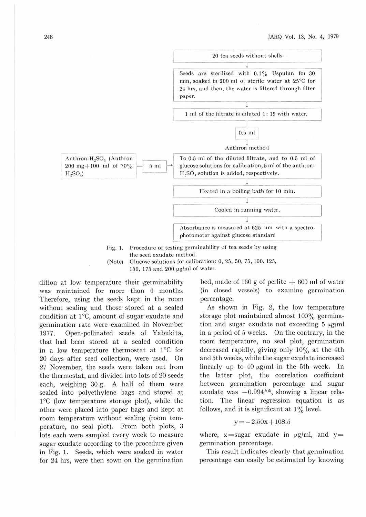

(Note) Glucose solutions for calibration:  $0, 25, 50, 75, 100, 125,$ 

150, l 7fi and 200 µg/ml of water.

dition at low temperature their germinability was maintained for more than G months. Therefore, using the seeds kept in the room without sealing and those stored at a sealed condition at  $1^{\circ}$ C, amount of sugar exudate and germination rate were examined in November 1977. Open-pollinated seeds of Yabukita, that had been stored at a sealed condition in a low temperature thermostat at 1°C for 20 days after seed collection, were used. On 27 November, the seeds were taken out from the thermostat, and divided into lots of 20 seeds each, weighing 30 g. A half of them were sealed into polyethylene bags and stored at  $1^{\circ}$ C (low temperature storage plot), while the other were placed into paper bags and kept at room temperature without sealing (room temperature, no seal plot). From both plots, 3 lots each were sampled every week to measure sugar exudate according to the procedure given in Fig. J. Seeds, which were soaked in water for 24 hrs, were then sown on the germination

bed, made of 160 g of perlite  $+600$  ml of water (in closed vessels) to examine germination percentage.

As shown in Fig. 2, the low temperature storage plot maintained almost 100% germination and sugar exudate not exceeding  $5 \mu g/ml$ in a period of 5 weeks. On the contrary, in the room temperature, no seal plot, germination decreased rapidly, giving only 10% at the 4th and 5th weeks, while the sugar exudate increased linearly up to  $40 \mu g/ml$  in the 5th week. In the latter plot, the correlation coefficient between germination percentage and sugar exudate was  $-0.994**$ , showing a linear relation. The linear regression equation is as follows, and it is significant at  $1\%$  level.

$$
y \!=\! -2.50x \!+\! 108.5
$$

where,  $x = sugar$  exudate in  $\mu g/ml$ , and  $y =$ germination percentage.

This result indicates clearly that germination percentage can easily be estimated by knowing